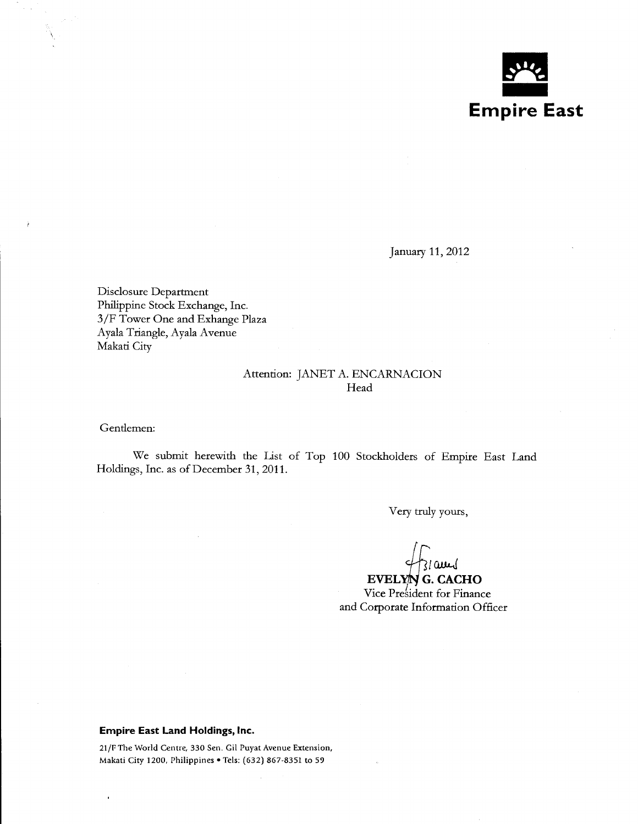

January 11, 2012

Disclosure Department Philippine Stock Exchange, Inc. 3/F Tower One and Exhange Plaza Ayala Triangle, Ayala Avenue Makati City

## Attention: JANET A. ENCARNACION Head

Gendemen:

We submit herewith the list of Top 100 Stockholders of Empire East Land Holdings, Inc. as of December 31, 2011.

Very truly yours,

31 am

 $EVELYN$  G. CACHO Vice President for Finance and Corporate Information Officer

## **Empire East Land Holdings, Inc.**

21/F The World Centre, 330 Sen. Gil Puyat Avenue Extension, Makati City 1200, Philippines • Tels: (632) 867-8351 to 59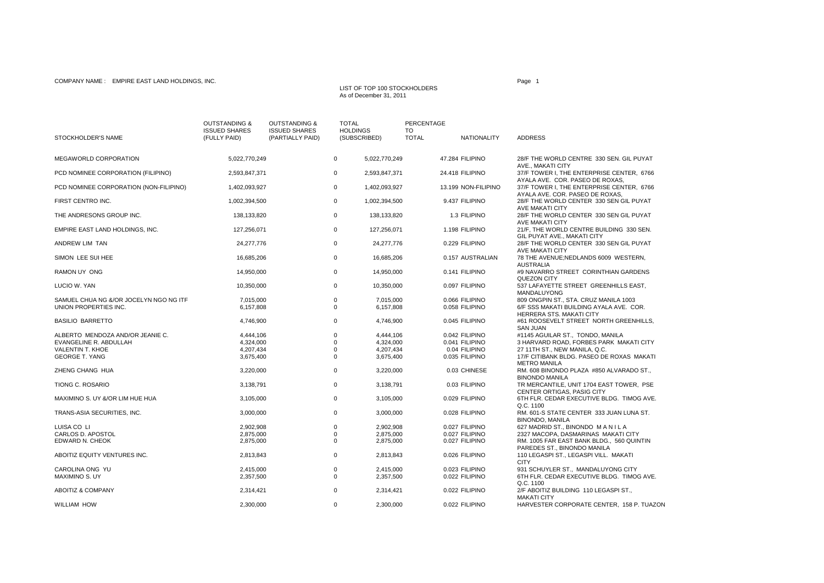Page 1LIST OF TOP 100 STOCKHOLDERSAs of December 31, 2011

| STOCKHOLDER'S NAME                        | <b>OUTSTANDING &amp;</b><br><b>ISSUED SHARES</b><br>(FULLY PAID) | <b>OUTSTANDING &amp;</b><br><b>ISSUED SHARES</b><br>(PARTIALLY PAID) | <b>TOTAL</b>               | <b>HOLDINGS</b><br>(SUBSCRIBED) | <b>PERCENTAGE</b><br>TO<br><b>TOTAL</b> | <b>NATIONALITY</b>              | <b>ADDRESS</b>                                                                                    |
|-------------------------------------------|------------------------------------------------------------------|----------------------------------------------------------------------|----------------------------|---------------------------------|-----------------------------------------|---------------------------------|---------------------------------------------------------------------------------------------------|
| MEGAWORLD CORPORATION                     | 5,022,770,249                                                    |                                                                      | $\mathbf 0$                | 5,022,770,249                   |                                         | 47.284 FILIPINO                 | 28/F THE WORLD CENTRE 330 SEN. GIL PUYAT                                                          |
| PCD NOMINEE CORPORATION (FILIPINO)        | 2,593,847,371                                                    |                                                                      | 0                          | 2,593,847,371                   |                                         | 24.418 FILIPINO                 | AVE., MAKATI CITY<br>37/F TOWER I, THE ENTERPRISE CENTER, 6766<br>AYALA AVE. COR. PASEO DE ROXAS, |
| PCD NOMINEE CORPORATION (NON-FILIPINO)    | 1,402,093,927                                                    |                                                                      | $\mathbf 0$                | 1,402,093,927                   |                                         | 13.199 NON-FILIPINO             | 37/F TOWER I, THE ENTERPRISE CENTER, 6766<br>AYALA AVE. COR. PASEO DE ROXAS.                      |
| FIRST CENTRO INC.                         | 1,002,394,500                                                    |                                                                      | $\mathsf 0$                | 1,002,394,500                   |                                         | 9.437 FILIPINO                  | 28/F THE WORLD CENTER 330 SEN GIL PUYAT<br>AVE MAKATI CITY                                        |
| THE ANDRESONS GROUP INC.                  | 138,133,820                                                      |                                                                      | $\mathbf 0$                | 138,133,820                     |                                         | 1.3 FILIPINO                    | 28/F THE WORLD CENTER 330 SEN GIL PUYAT<br>AVE MAKATI CITY                                        |
| EMPIRE EAST LAND HOLDINGS, INC.           | 127,256,071                                                      |                                                                      | $\mathbf 0$                | 127,256,071                     |                                         | 1.198 FILIPINO                  | 21/F, THE WORLD CENTRE BUILDING 330 SEN.<br>GIL PUYAT AVE., MAKATI CITY                           |
| ANDREW LIM TAN                            | 24,277,776                                                       |                                                                      | 0                          | 24,277,776                      |                                         | 0.229 FILIPINO                  | 28/F THE WORLD CENTER 330 SEN GIL PUYAT<br>AVE MAKATI CITY                                        |
| SIMON LEE SUI HEE                         | 16,685,206                                                       |                                                                      | $\mathbf 0$                | 16,685,206                      |                                         | 0.157 AUSTRALIAN                | 78 THE AVENUE; NEDLANDS 6009 WESTERN,<br><b>AUSTRALIA</b>                                         |
| RAMON UY ONG                              | 14,950,000                                                       |                                                                      | $\mathbf 0$                | 14,950,000                      |                                         | 0.141 FILIPINO                  | #9 NAVARRO STREET CORINTHIAN GARDENS<br><b>QUEZON CITY</b>                                        |
| LUCIO W. YAN                              | 10,350,000                                                       |                                                                      | $\mathbf 0$                | 10,350,000                      |                                         | 0.097 FILIPINO                  | 537 LAFAYETTE STREET GREENHILLS EAST,<br>MANDALUYONG                                              |
| SAMUEL CHUA NG &/OR JOCELYN NGO NG ITF    | 7,015,000                                                        |                                                                      | $\mathbf 0$                | 7,015,000                       |                                         | 0.066 FILIPINO                  | 809 ONGPIN ST., STA. CRUZ MANILA 1003                                                             |
| UNION PROPERTIES INC.                     | 6,157,808                                                        |                                                                      | $\mathbf 0$                | 6,157,808                       |                                         | 0.058 FILIPINO                  | 6/F SSS MAKATI BUILDING AYALA AVE. COR.<br>HERRERA STS. MAKATI CITY                               |
| <b>BASILIO BARRETTO</b>                   | 4,746,900                                                        |                                                                      | $\mathbf 0$                | 4,746,900                       |                                         | 0.045 FILIPINO                  | #61 ROOSEVELT STREET NORTH GREENHILLS,<br><b>SAN JUAN</b>                                         |
| ALBERTO MENDOZA AND/OR JEANIE C.          | 4,444,106                                                        |                                                                      | $\mathbf 0$                | 4,444,106                       |                                         | 0.042 FILIPINO                  | #1145 AGUILAR ST., TONDO, MANILA                                                                  |
| EVANGELINE R. ABDULLAH                    | 4,324,000                                                        |                                                                      | $\Omega$                   | 4,324,000                       |                                         | 0.041 FILIPINO                  | 3 HARVARD ROAD, FORBES PARK MAKATI CITY                                                           |
| VALENTIN T. KHOE<br><b>GEORGE T. YANG</b> | 4,207,434<br>3,675,400                                           |                                                                      | $\mathbf 0$<br>$\mathbf 0$ | 4,207,434<br>3,675,400          |                                         | 0.04 FILIPINO<br>0.035 FILIPINO | 27 11TH ST., NEW MANILA, Q.C.<br>17/F CITIBANK BLDG. PASEO DE ROXAS MAKATI<br><b>METRO MANILA</b> |
| ZHENG CHANG HUA                           | 3,220,000                                                        |                                                                      | $\mathbf 0$                | 3,220,000                       |                                         | 0.03 CHINESE                    | RM. 608 BINONDO PLAZA #850 ALVARADO ST.,<br><b>BINONDO MANILA</b>                                 |
| <b>TIONG C. ROSARIO</b>                   | 3.138.791                                                        |                                                                      | $\mathbf 0$                | 3,138,791                       |                                         | 0.03 FILIPINO                   | TR MERCANTILE, UNIT 1704 EAST TOWER, PSE<br>CENTER ORTIGAS, PASIG CITY                            |
| MAXIMINO S. UY &/OR LIM HUE HUA           | 3,105,000                                                        |                                                                      | $\mathbf 0$                | 3,105,000                       |                                         | 0.029 FILIPINO                  | 6TH FLR. CEDAR EXECUTIVE BLDG. TIMOG AVE.<br>Q.C. 1100                                            |
| TRANS-ASIA SECURITIES, INC.               | 3,000,000                                                        |                                                                      | 0                          | 3,000,000                       |                                         | 0.028 FILIPINO                  | RM. 601-S STATE CENTER 333 JUAN LUNA ST.<br><b>BINONDO, MANILA</b>                                |
| LUISA CO LI                               | 2.902.908                                                        |                                                                      | $\mathbf 0$                | 2.902.908                       |                                         | 0.027 FILIPINO                  | 627 MADRID ST., BINONDO MANILA                                                                    |
| CARLOS D. APOSTOL                         | 2,875,000                                                        |                                                                      | $\mathbf 0$                | 2,875,000                       |                                         | 0.027 FILIPINO                  | 2327 MACOPA, DASMARINAS MAKATI CITY                                                               |
| EDWARD N. CHEOK                           | 2,875,000                                                        |                                                                      | $\mathbf 0$                | 2,875,000                       |                                         | 0.027 FILIPINO                  | RM. 1005 FAR EAST BANK BLDG., 560 QUINTIN<br>PAREDES ST., BINONDO MANILA                          |
| ABOITIZ EQUITY VENTURES INC.              | 2,813,843                                                        |                                                                      | $\mathbf 0$                | 2,813,843                       |                                         | 0.026 FILIPINO                  | 110 LEGASPI ST., LEGASPI VILL. MAKATI<br><b>CITY</b>                                              |
| CAROLINA ONG YU                           | 2,415,000                                                        |                                                                      | $\mathsf 0$                | 2,415,000                       |                                         | 0.023 FILIPINO                  | 931 SCHUYLER ST., MANDALUYONG CITY                                                                |
| MAXIMINO S. UY                            | 2,357,500                                                        |                                                                      | $\mathbf 0$                | 2,357,500                       |                                         | 0.022 FILIPINO                  | 6TH FLR. CEDAR EXECUTIVE BLDG. TIMOG AVE.<br>Q.C. 1100                                            |
| <b>ABOITIZ &amp; COMPANY</b>              | 2,314,421                                                        |                                                                      | $\mathbf 0$                | 2,314,421                       |                                         | 0.022 FILIPINO                  | 2/F ABOITIZ BUILDING 110 LEGASPI ST.,<br><b>MAKATI CITY</b>                                       |
| WILLIAM HOW                               | 2,300,000                                                        |                                                                      | $\mathbf 0$                | 2,300,000                       |                                         | 0.022 FILIPINO                  | HARVESTER CORPORATE CENTER, 158 P. TUAZON                                                         |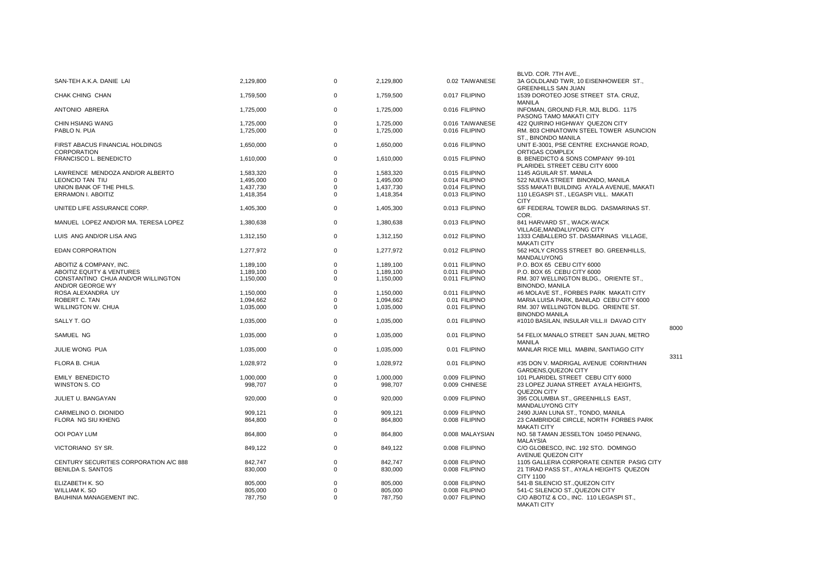|                                                |           |             |           |                 | BLVD. COR. 7TH AVE.,                                                 |      |
|------------------------------------------------|-----------|-------------|-----------|-----------------|----------------------------------------------------------------------|------|
| SAN-TEH A.K.A. DANIE LAI                       | 2,129,800 | $\Omega$    | 2,129,800 | 0.02 TAIWANESE  | 3A GOLDLAND TWR, 10 EISENHOWEER ST.,<br><b>GREENHILLS SAN JUAN</b>   |      |
| CHAK CHING CHAN                                | 1,759,500 | $\mathbf 0$ | 1,759,500 | 0.017 FILIPINO  | 1539 DOROTEO JOSE STREET STA. CRUZ,<br><b>MANILA</b>                 |      |
| ANTONIO ABRERA                                 | 1,725,000 | $\mathbf 0$ | 1,725,000 | 0.016 FILIPINO  | INFOMAN, GROUND FLR. MJL BLDG. 1175<br>PASONG TAMO MAKATI CITY       |      |
| CHIN HSIANG WANG                               | 1,725,000 | $\mathbf 0$ | 1,725,000 | 0.016 TAIWANESE | 422 QUIRINO HIGHWAY QUEZON CITY                                      |      |
| PABLO N. PUA                                   | 1,725,000 | $\Omega$    | 1,725,000 | 0.016 FILIPINO  | RM. 803 CHINATOWN STEEL TOWER ASUNCION<br>ST., BINONDO MANILA        |      |
| FIRST ABACUS FINANCIAL HOLDINGS<br>CORPORATION | 1,650,000 | $\Omega$    | 1,650,000 | 0.016 FILIPINO  | UNIT E-3001, PSE CENTRE EXCHANGE ROAD,<br>ORTIGAS COMPLEX            |      |
| FRANCISCO L. BENEDICTO                         | 1,610,000 | $\Omega$    | 1,610,000 | 0.015 FILIPINO  | B. BENEDICTO & SONS COMPANY 99-101<br>PLARIDEL STREET CEBU CITY 6000 |      |
| LAWRENCE MENDOZA AND/OR ALBERTO                | 1,583,320 | $\Omega$    | 1,583,320 | 0.015 FILIPINO  | 1145 AGUILAR ST. MANILA                                              |      |
| LEONCIO TAN TIU                                | 1,495,000 | $\Omega$    | 1,495,000 | 0.014 FILIPINO  | 522 NUEVA STREET BINONDO, MANILA                                     |      |
| UNION BANK OF THE PHILS.                       | 1,437,730 | $\Omega$    | 1,437,730 | 0.014 FILIPINO  | SSS MAKATI BUILDING AYALA AVENUE, MAKATI                             |      |
|                                                |           | $\Omega$    |           |                 |                                                                      |      |
| ERRAMON I. ABOITIZ                             | 1,418,354 |             | 1,418,354 | 0.013 FILIPINO  | 110 LEGASPI ST., LEGASPI VILL. MAKATI<br><b>CITY</b>                 |      |
| UNITED LIFE ASSURANCE CORP.                    | 1,405,300 | $\Omega$    | 1,405,300 | 0.013 FILIPINO  | 6/F FEDERAL TOWER BLDG. DASMARINAS ST.<br>COR.                       |      |
| MANUEL LOPEZ AND/OR MA. TERESA LOPEZ           | 1,380,638 | $\mathbf 0$ | 1,380,638 | 0.013 FILIPINO  | 841 HARVARD ST., WACK-WACK<br>VILLAGE, MANDALUYONG CITY              |      |
| LUIS ANG AND/OR LISA ANG                       | 1,312,150 | $\mathbf 0$ | 1,312,150 | 0.012 FILIPINO  | 1333 CABALLERO ST. DASMARINAS VILLAGE,<br><b>MAKATI CITY</b>         |      |
| <b>EDAN CORPORATION</b>                        | 1,277,972 | $\Omega$    | 1,277,972 | 0.012 FILIPINO  | 562 HOLY CROSS STREET BO. GREENHILLS,<br><b>MANDALUYONG</b>          |      |
| ABOITIZ & COMPANY, INC.                        | 1,189,100 | $\Omega$    | 1,189,100 | 0.011 FILIPINO  | P.O. BOX 65 CEBU CITY 6000                                           |      |
| ABOITIZ EQUITY & VENTURES                      | 1,189,100 | $\Omega$    | 1,189,100 | 0.011 FILIPINO  | P.O. BOX 65 CEBU CITY 6000                                           |      |
| CONSTANTINO CHUA AND/OR WILLINGTON             |           | $\Omega$    |           | 0.011 FILIPINO  | RM. 307 WELLINGTON BLDG., ORIENTE ST.,                               |      |
| AND/OR GEORGE WY                               | 1,150,000 |             | 1,150,000 |                 | <b>BINONDO, MANILA</b>                                               |      |
| ROSA ALEXANDRA UY                              | 1,150,000 | $\Omega$    | 1,150,000 | 0.011 FILIPINO  | #6 MOLAVE ST., FORBES PARK MAKATI CITY                               |      |
| ROBERT C. TAN                                  | 1,094,662 | $\Omega$    | 1,094,662 | 0.01 FILIPINO   | MARIA LUISA PARK, BANILAD CEBU CITY 6000                             |      |
| WILLINGTON W. CHUA                             | 1,035,000 | $\Omega$    | 1,035,000 | 0.01 FILIPINO   | RM. 307 WELLINGTON BLDG. ORIENTE ST.<br><b>BINONDO MANILA</b>        |      |
| SALLY T. GO                                    | 1,035,000 | $\mathbf 0$ | 1,035,000 | 0.01 FILIPINO   | #1010 BASILAN, INSULAR VILL.II DAVAO CITY                            | 8000 |
| SAMUEL NG                                      | 1,035,000 | $\mathbf 0$ | 1,035,000 | 0.01 FILIPINO   | 54 FELIX MANALO STREET SAN JUAN, METRO<br><b>MANILA</b>              |      |
| JULIE WONG PUA                                 | 1,035,000 | $\Omega$    | 1,035,000 | 0.01 FILIPINO   | MANLAR RICE MILL MABINI, SANTIAGO CITY                               | 3311 |
| FLORA B. CHUA                                  | 1,028,972 | $\mathbf 0$ | 1,028,972 | 0.01 FILIPINO   | #35 DON V. MADRIGAL AVENUE CORINTHIAN<br><b>GARDENS, QUEZON CITY</b> |      |
| <b>EMILY BENEDICTO</b>                         | 1,000,000 | $\mathbf 0$ | 1,000,000 | 0.009 FILIPINO  | 101 PLARIDEL STREET CEBU CITY 6000                                   |      |
| WINSTON S. CO                                  | 998,707   | $\Omega$    | 998.707   | 0.009 CHINESE   | 23 LOPEZ JUANA STREET AYALA HEIGHTS,                                 |      |
|                                                |           |             |           |                 | QUEZON CITY                                                          |      |
| JULIET U. BANGAYAN                             | 920,000   | $\Omega$    | 920,000   | 0.009 FILIPINO  | 395 COLUMBIA ST., GREENHILLS EAST,<br>MANDALUYONG CITY               |      |
| CARMELINO O. DIONIDO                           | 909,121   | $\mathbf 0$ | 909,121   | 0.009 FILIPINO  | 2490 JUAN LUNA ST., TONDO, MANILA                                    |      |
| FLORA NG SIU KHENG                             | 864,800   | $\mathbf 0$ | 864,800   | 0.008 FILIPINO  | 23 CAMBRIDGE CIRCLE, NORTH FORBES PARK<br><b>MAKATI CITY</b>         |      |
| <b>OOI POAY LUM</b>                            | 864,800   | $\Omega$    | 864,800   | 0.008 MALAYSIAN | NO. 58 TAMAN JESSELTON 10450 PENANG,<br><b>MALAYSIA</b>              |      |
| VICTORIANO SY SR.                              | 849,122   | $\Omega$    | 849,122   | 0.008 FILIPINO  | C/O GLOBESCO, INC. 192 STO. DOMINGO<br><b>AVENUE QUEZON CITY</b>     |      |
| CENTURY SECURITIES CORPORATION A/C 888         | 842,747   | $\Omega$    | 842,747   | 0.008 FILIPINO  | 1105 GALLERIA CORPORATE CENTER PASIG CITY                            |      |
| BENILDA S. SANTOS                              | 830,000   | $\Omega$    | 830,000   | 0.008 FILIPINO  | 21 TIRAD PASS ST., AYALA HEIGHTS QUEZON                              |      |
|                                                |           |             |           |                 | <b>CITY 1100</b>                                                     |      |
| ELIZABETH K. SO                                | 805,000   | $\Omega$    | 805,000   | 0.008 FILIPINO  | 541-B SILENCIO ST., QUEZON CITY                                      |      |
| WILLIAM K. SO                                  | 805,000   | $\Omega$    | 805,000   | 0.008 FILIPINO  | 541-C SILENCIO ST., QUEZON CITY                                      |      |
| BAUHINIA MANAGEMENT INC.                       | 787,750   | $\Omega$    | 787,750   | 0.007 FILIPINO  | C/O ABOTIZ & CO., INC. 110 LEGASPI ST.,<br><b>MAKATI CITY</b>        |      |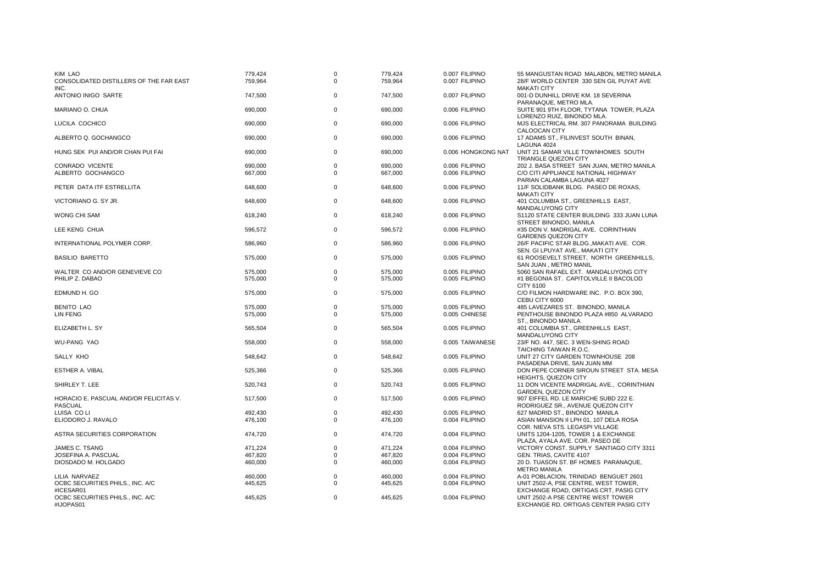| KIM LAO<br>CONSOLIDATED DISTILLERS OF THE FAR EAST<br>INC. | 779,424<br>759,964 | 0<br>$\mathbf 0$           | 779,424<br>759,964 | 0.007 FILIPINO<br>0.007 FILIPINO | 55 MANGUSTAN ROAD MALABON, METRO MANILA<br>28/F WORLD CENTER 330 SEN GIL PUYAT AVE<br><b>MAKATI CITY</b>       |
|------------------------------------------------------------|--------------------|----------------------------|--------------------|----------------------------------|----------------------------------------------------------------------------------------------------------------|
| ANTONIO INIGO SARTE                                        | 747,500            | $\mathbf 0$                | 747,500            | 0.007 FILIPINO                   | 001-D DUNHILL DRIVE KM. 18 SEVERINA<br>PARANAQUE, METRO MLA.                                                   |
| MARIANO O. CHUA                                            | 690,000            | $\mathbf 0$                | 690,000            | 0.006 FILIPINO                   | SUITE 901 9TH FLOOR, TYTANA TOWER, PLAZA<br>LORENZO RUIZ, BINONDO MLA.                                         |
| LUCILA COCHICO                                             | 690,000            | $\mathbf 0$                | 690,000            | 0.006 FILIPINO                   | MJS ELECTRICAL RM. 307 PANORAMA BUILDING<br><b>CALOOCAN CITY</b>                                               |
| ALBERTO Q. GOCHANGCO                                       | 690,000            | $\mathbf 0$                | 690,000            | 0.006 FILIPINO                   | 17 ADAMS ST., FILINVEST SOUTH BINAN,<br>LAGUNA 4024                                                            |
| HUNG SEK PUI AND/OR CHAN PUI FAI                           | 690,000            | $\mathbf 0$                | 690,000            | 0.006 HONGKONG NAT               | UNIT 21 SAMAR VILLE TOWNHOMES SOUTH<br>TRIANGLE QUEZON CITY                                                    |
| CONRADO VICENTE<br>ALBERTO GOCHANGCO                       | 690,000<br>667,000 | $\mathbf 0$<br>$\mathbf 0$ | 690,000<br>667,000 | 0.006 FILIPINO<br>0.006 FILIPINO | 202 J. BASA STREET SAN JUAN, METRO MANILA<br>C/O CITI APPLIANCE NATIONAL HIGHWAY<br>PARIAN CALAMBA LAGUNA 4027 |
| PETER DATA ITF ESTRELLITA                                  | 648,600            | $\mathbf 0$                | 648,600            | 0.006 FILIPINO                   | 11/F SOLIDBANK BLDG. PASEO DE ROXAS,<br><b>MAKATI CITY</b>                                                     |
| VICTORIANO G. SY JR.                                       | 648,600            | $\mathbf 0$                | 648,600            | 0.006 FILIPINO                   | 401 COLUMBIA ST., GREENHILLS EAST,<br><b>MANDALUYONG CITY</b>                                                  |
| <b>WONG CHI SAM</b>                                        | 618,240            | $\mathbf 0$                | 618,240            | 0.006 FILIPINO                   | S1120 STATE CENTER BUILDING 333 JUAN LUNA<br>STREET BINONDO, MANILA                                            |
| LEE KENG CHUA                                              | 596,572            | $\mathbf 0$                | 596,572            | 0.006 FILIPINO                   | #35 DON V. MADRIGAL AVE. CORINTHIAN<br><b>GARDENS QUEZON CITY</b>                                              |
| INTERNATIONAL POLYMER CORP.                                | 586,960            | $\mathbf 0$                | 586,960            | 0.006 FILIPINO                   | 26/F PACIFIC STAR BLDG., MAKATI AVE. COR.<br>SEN. GI LPUYAT AVE., MAKATI CITY                                  |
| <b>BASILIO BARETTO</b>                                     | 575,000            | $\mathbf 0$                | 575,000            | 0.005 FILIPINO                   | 61 ROOSEVELT STREET, NORTH GREENHILLS,<br>SAN JUAN, METRO MANIL                                                |
| WALTER CO AND/OR GENEVIEVE CO                              | 575,000            | $\mathbf 0$                | 575,000            | 0.005 FILIPINO                   | 5060 SAN RAFAEL EXT. MANDALUYONG CITY                                                                          |
| PHILIP Z. DABAO                                            | 575,000            | $\mathbf 0$                | 575,000            | 0.005 FILIPINO                   | #1 BEGONIA ST. CAPITOLVILLE II BACOLOD<br>CITY 6100                                                            |
| EDMUND H. GO                                               | 575,000            | $\mathbf 0$                | 575,000            | 0.005 FILIPINO                   | C/O FILMON HARDWARE INC. P.O. BOX 390,<br>CEBU CITY 6000                                                       |
| <b>BENITO LAO</b>                                          | 575,000            | 0                          | 575,000            | 0.005 FILIPINO                   | 485 LAVEZARES ST. BINONDO, MANILA                                                                              |
| LIN FENG                                                   | 575,000            | 0                          | 575,000            | 0.005 CHINESE                    | PENTHOUSE BINONDO PLAZA #850 ALVARADO<br>ST., BINONDO MANILA                                                   |
| ELIZABETH L. SY                                            | 565,504            | $\mathbf 0$                | 565,504            | 0.005 FILIPINO                   | 401 COLUMBIA ST., GREENHILLS EAST,<br>MANDALUYONG CITY                                                         |
| <b>WU-PANG YAO</b>                                         | 558,000            | $\mathbf 0$                | 558,000            | 0.005 TAIWANESE                  | 23/F NO. 447, SEC. 3 WEN-SHING ROAD<br>TAICHING TAIWAN R.O.C.                                                  |
| SALLY KHO                                                  | 548,642            | $\mathbf 0$                | 548,642            | 0.005 FILIPINO                   | UNIT 27 CITY GARDEN TOWNHOUSE 208<br>PASADENA DRIVE, SAN JUAN MM                                               |
| ESTHER A. VIBAL                                            | 525,366            | $\mathbf 0$                | 525,366            | 0.005 FILIPINO                   | DON PEPE CORNER SIROUN STREET STA. MESA<br><b>HEIGHTS, QUEZON CITY</b>                                         |
| SHIRLEY T. LEE                                             | 520,743            | $\mathbf 0$                | 520,743            | 0.005 FILIPINO                   | 11 DON VICENTE MADRIGAL AVE., CORINTHIAN<br><b>GARDEN, QUEZON CITY</b>                                         |
| HORACIO E. PASCUAL AND/OR FELICITAS V.<br><b>PASCUAL</b>   | 517,500            | $\mathbf 0$                | 517,500            | 0.005 FILIPINO                   | 907 EIFFEL RD. LE MARICHE SUBD 222 E.<br>RODRIGUEZ SR., AVENUE QUEZON CITY                                     |
| LUISA CO LI                                                | 492,430            | $\mathbf 0$                | 492,430            | 0.005 FILIPINO                   | 627 MADRID ST., BINONDO MANILA                                                                                 |
| ELIODORO J. RAVALO                                         | 476,100            | $\mathbf 0$                | 476,100            | 0.004 FILIPINO                   | ASIAN MANSION II LPH 01, 107 DELA ROSA<br>COR. NIEVA STS. LEGASPI VILLAGE                                      |
| <b>ASTRA SECURITIES CORPORATION</b>                        | 474,720            | $\mathbf 0$                | 474,720            | 0.004 FILIPINO                   | UNITS 1204-1205, TOWER 1 & EXCHANGE<br>PLAZA, AYALA AVE. COR. PASEO DE                                         |
| JAMES C. TSANG                                             | 471,224            | $\mathbf 0$                | 471,224            | 0.004 FILIPINO                   | VICTORY CONST. SUPPLY SANTIAGO CITY 3311                                                                       |
| JOSEFINA A. PASCUAL                                        | 467.820            | $\mathbf 0$                | 467.820            | 0.004 FILIPINO                   | GEN. TRIAS, CAVITE 4107                                                                                        |
| DIOSDADO M. HOLGADO                                        | 460,000            | $\mathbf 0$                | 460,000            | 0.004 FILIPINO                   | 20 D. TUASON ST. BF HOMES PARANAQUE,<br><b>METRO MANILA</b>                                                    |
| LILIA NARVAEZ                                              | 460.000            | $\mathbf 0$                | 460,000            | 0.004 FILIPINO                   | A-01 POBLACION, TRINIDAD BENGUET 2601                                                                          |
| OCBC SECURITIES PHILS., INC. A/C<br>#ICESAR01              | 445,625            | $\mathbf 0$                | 445,625            | 0.004 FILIPINO                   | UNIT 2502-A, PSE CENTRE, WEST TOWER,<br>EXCHANGE ROAD, ORTIGAS CRT, PASIG CITY                                 |
| OCBC SECURITIES PHILS., INC. A/C<br>#IJOPAS01              | 445,625            | $\mathbf 0$                | 445,625            | 0.004 FILIPINO                   | UNIT 2502-A PSE CENTRE WEST TOWER<br>EXCHANGE RD. ORTIGAS CENTER PASIG CITY                                    |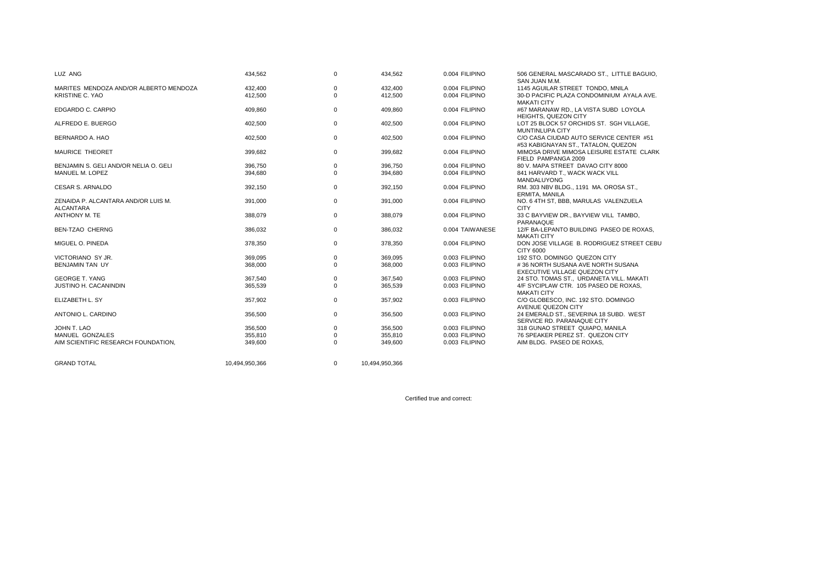| LUZ ANG                                          | 434,562        | $\mathbf 0$ | 434,562        | 0.004 FILIPINO  | 506 GENERAL MASCARADO ST., LITTLE BAGUIO,<br>SAN JUAN M.M.                     |
|--------------------------------------------------|----------------|-------------|----------------|-----------------|--------------------------------------------------------------------------------|
| MARITES MENDOZA AND/OR ALBERTO MENDOZA           | 432,400        | $\mathbf 0$ | 432,400        | 0.004 FILIPINO  | 1145 AGUILAR STREET TONDO, MNILA                                               |
| KRISTINE C. YAO                                  | 412,500        | $\mathbf 0$ | 412,500        | 0.004 FILIPINO  | 30-D PACIFIC PLAZA CONDOMINIUM AYALA AVE.<br><b>MAKATI CITY</b>                |
| EDGARDO C. CARPIO                                | 409,860        | 0           | 409,860        | 0.004 FILIPINO  | #67 MARANAW RD., LA VISTA SUBD LOYOLA<br><b>HEIGHTS, QUEZON CITY</b>           |
| ALFREDO E. BUERGO                                | 402,500        | 0           | 402,500        | 0.004 FILIPINO  | LOT 25 BLOCK 57 ORCHIDS ST. SGH VILLAGE,<br><b>MUNTINLUPA CITY</b>             |
| BERNARDO A. HAO                                  | 402,500        | $\mathbf 0$ | 402,500        | 0.004 FILIPINO  | C/O CASA CIUDAD AUTO SERVICE CENTER #51<br>#53 KABIGNAYAN ST., TATALON, QUEZON |
| <b>MAURICE THEORET</b>                           | 399,682        | $\mathbf 0$ | 399,682        | 0.004 FILIPINO  | MIMOSA DRIVE MIMOSA LEISURE ESTATE CLARK<br>FIELD PAMPANGA 2009                |
| BENJAMIN S. GELI AND/OR NELIA O. GELI            | 396,750        | 0           | 396,750        | 0.004 FILIPINO  | 80 V. MAPA STREET DAVAO CITY 8000                                              |
| MANUEL M. LOPEZ                                  | 394,680        | $\mathbf 0$ | 394,680        | 0.004 FILIPINO  | 841 HARVARD T., WACK WACK VILL<br><b>MANDALUYONG</b>                           |
| <b>CESAR S. ARNALDO</b>                          | 392,150        | $\mathbf 0$ | 392,150        | 0.004 FILIPINO  | RM. 303 NBV BLDG., 1191 MA. OROSA ST.,<br>ERMITA, MANILA                       |
| ZENAIDA P. ALCANTARA AND/OR LUIS M.<br>ALCANTARA | 391,000        | $\mathbf 0$ | 391,000        | 0.004 FILIPINO  | NO. 6 4TH ST, BBB, MARULAS VALENZUELA<br><b>CITY</b>                           |
| ANTHONY M. TE                                    | 388,079        | $\mathbf 0$ | 388,079        | 0.004 FILIPINO  | 33 C BAYVIEW DR., BAYVIEW VILL TAMBO,<br>PARANAQUE                             |
| <b>BEN-TZAO CHERNG</b>                           | 386,032        | $\mathbf 0$ | 386,032        | 0.004 TAIWANESE | 12/F BA-LEPANTO BUILDING PASEO DE ROXAS.<br><b>MAKATI CITY</b>                 |
| MIGUEL O. PINEDA                                 | 378,350        | $\mathbf 0$ | 378.350        | 0.004 FILIPINO  | DON JOSE VILLAGE B. RODRIGUEZ STREET CEBU<br>CITY 6000                         |
| VICTORIANO SY JR.                                | 369.095        | $\mathbf 0$ | 369.095        | 0.003 FILIPINO  | 192 STO, DOMINGO QUEZON CITY                                                   |
| <b>BENJAMIN TAN UY</b>                           | 368,000        | $\Omega$    | 368,000        | 0.003 FILIPINO  | #36 NORTH SUSANA AVE NORTH SUSANA<br><b>EXECUTIVE VILLAGE QUEZON CITY</b>      |
| <b>GEORGE T. YANG</b>                            | 367,540        | 0           | 367,540        | 0.003 FILIPINO  | 24 STO. TOMAS ST., URDANETA VILL. MAKATI                                       |
| <b>JUSTINO H. CACANINDIN</b>                     | 365,539        | $\Omega$    | 365,539        | 0.003 FILIPINO  | 4/F SYCIPLAW CTR. 105 PASEO DE ROXAS,<br><b>MAKATI CITY</b>                    |
| ELIZABETH L. SY                                  | 357.902        | $\mathbf 0$ | 357.902        | 0.003 FILIPINO  | C/O GLOBESCO. INC. 192 STO. DOMINGO<br>AVENUE QUEZON CITY                      |
| ANTONIO L. CARDINO                               | 356,500        | $\mathbf 0$ | 356.500        | 0.003 FILIPINO  | 24 EMERALD ST., SEVERINA 18 SUBD. WEST<br>SERVICE RD. PARANAQUE CITY           |
| JOHN T. LAO                                      | 356,500        | $\mathbf 0$ | 356.500        | 0.003 FILIPINO  | 318 GUNAO STREET QUIAPO, MANILA                                                |
| MANUEL GONZALES                                  | 355,810        | 0           | 355,810        | 0.003 FILIPINO  | 76 SPEAKER PEREZ ST. QUEZON CITY                                               |
| AIM SCIENTIFIC RESEARCH FOUNDATION,              | 349,600        | $\Omega$    | 349,600        | 0.003 FILIPINO  | AIM BLDG. PASEO DE ROXAS,                                                      |
| <b>GRAND TOTAL</b>                               | 10.494.950.366 | $\mathbf 0$ | 10,494,950,366 |                 |                                                                                |

Certified true and correct: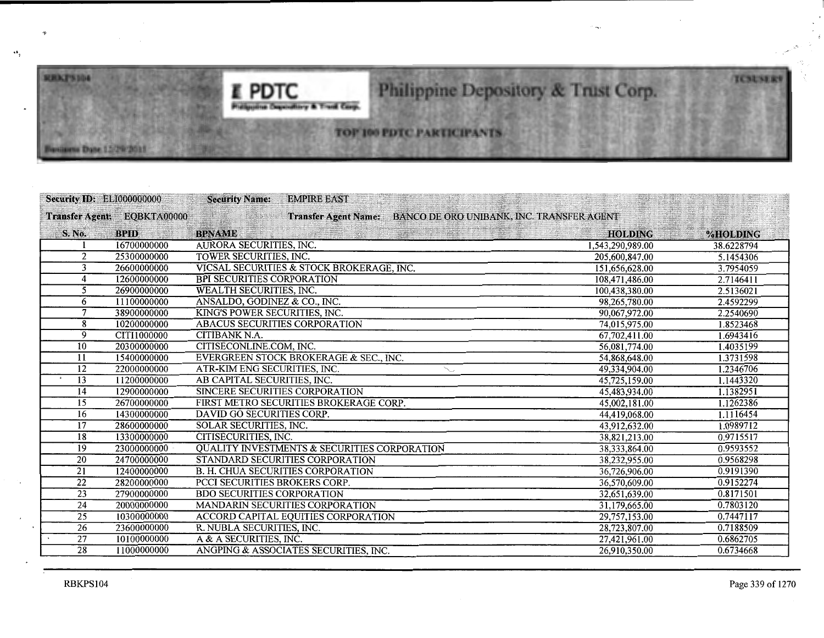

## Philippine Depository & Trust Corp.

TOP 100 PDTC PARTICIPANTS

| <b>Security ID: ELI000000000</b> |                             | <b>Security Name:</b>                    | <b>EMPIRE EAST</b>                                      |                                           |                  |            |
|----------------------------------|-----------------------------|------------------------------------------|---------------------------------------------------------|-------------------------------------------|------------------|------------|
|                                  | Transfer Agent: EQBKTA00000 |                                          | <b>Transfer Agent Name:</b>                             | BANCO DE ORO UNIBANK, INC. TRANSFER AGENT |                  |            |
| S. No.                           | <b>BPID</b>                 | <b>BPNAME</b>                            |                                                         |                                           | <b>HOLDING</b>   | %HOLDING   |
|                                  | 16700000000                 | AURORA SECURITIES, INC.                  |                                                         |                                           | 1,543,290,989.00 | 38.6228794 |
| 2                                | 25300000000                 | TOWER SECURITIES, INC.                   |                                                         |                                           | 205,600,847.00   | 5.1454306  |
| 3                                | 26600000000                 |                                          | VICSAL SECURITIES & STOCK BROKERAGE, INC.               |                                           | 151,656,628.00   | 3.7954059  |
| 4                                | 12600000000                 | <b>BPI SECURITIES CORPORATION</b>        |                                                         |                                           | 108,471,486.00   | 2.7146411  |
| 5                                | 26900000000                 | <b>WEALTH SECURITIES, INC.</b>           |                                                         |                                           | 100,438,380.00   | 2.5136021  |
| 6                                | 11100000000                 | ANSALDO, GODINEZ & CO., INC.             |                                                         |                                           | 98,265,780.00    | 2.4592299  |
|                                  | 38900000000                 | KING'S POWER SECURITIES, INC.            |                                                         |                                           | 90,067,972.00    | 2.2540690  |
| 8                                | 10200000000                 | ABACUS SECURITIES CORPORATION            |                                                         |                                           | 74,015,975.00    | 1.8523468  |
| 9                                | CITI1000000                 | <b>CITIBANK N.A.</b>                     |                                                         |                                           | 67,702,411.00    | 1.6943416  |
| 10                               | 20300000000                 | CITISECONLINE.COM, INC.                  |                                                         |                                           | 56,081,774.00    | 1.4035199  |
| 11                               | 15400000000                 |                                          | EVERGREEN STOCK BROKERAGE & SEC., INC.                  |                                           | 54,868,648.00    | 1.3731598  |
| 12                               | 22000000000                 | ATR-KIM ENG SECURITIES, INC.             |                                                         |                                           | 49,334,904.00    | 1.2346706  |
| 13                               | 11200000000                 | AB CAPITAL SECURITIES, INC.              |                                                         |                                           | 45,725,159.00    | 1.1443320  |
| 14                               | 12900000000                 | SINCERE SECURITIES CORPORATION           |                                                         |                                           | 45,483,934.00    | 1.1382951  |
| 15                               | 26700000000                 |                                          | FIRST METRO SECURITIES BROKERAGE CORP.                  |                                           | 45,002,181.00    | 1.1262386  |
| 16                               | 14300000000                 | DAVID GO SECURITIES CORP.                |                                                         |                                           | 44,419,068.00    | 1.1116454  |
| 17                               | 28600000000                 | SOLAR SECURITIES, INC.                   |                                                         |                                           | 43,912,632.00    | 1.0989712  |
| 18                               | 13300000000                 | CITISECURITIES, INC.                     |                                                         |                                           | 38,821,213.00    | 0.9715517  |
| 19                               | 23000000000                 |                                          | <b>QUALITY INVESTMENTS &amp; SECURITIES CORPORATION</b> |                                           | 38,333,864.00    | 0.9593552  |
| 20                               | 24700000000                 |                                          | STANDARD SECURITIES CORPORATION                         |                                           | 38,232,955.00    | 0.9568298  |
| 21                               | 12400000000                 | <b>B. H. CHUA SECURITIES CORPORATION</b> |                                                         |                                           | 36,726,906.00    | 0.9191390  |
| $\overline{22}$                  | 28200000000                 | PCCI SECURITIES BROKERS CORP.            |                                                         |                                           | 36,570,609.00    | 0.9152274  |
| 23                               | 27900000000                 | <b>BDO SECURITIES CORPORATION</b>        |                                                         |                                           | 32,651,639.00    | 0.8171501  |
| 24                               | 20000000000                 |                                          | MANDARIN SECURITIES CORPORATION                         |                                           | 31,179,665.00    | 0.7803120  |
| $\overline{25}$                  | 10300000000                 |                                          | <b>ACCORD CAPITAL EQUITIES CORPORATION</b>              |                                           | 29,757,153.00    | 0.7447117  |
| $\overline{26}$                  | 23600000000                 | R. NUBLA SECURITIES, INC.                |                                                         |                                           | 28,723,807.00    | 0.7188509  |
| $\overline{27}$                  | 10100000000                 | A & A SECURITIES, INC.                   |                                                         |                                           | 27,421,961.00    | 0.6862705  |
| $\overline{28}$                  | 11000000000                 |                                          | ANGPING & ASSOCIATES SECURITIES, INC.                   |                                           | 26,910,350.00    | 0.6734668  |

.. j

"

**RRXPS104** 

em Dane 15/29/2011

**TCSUSERS**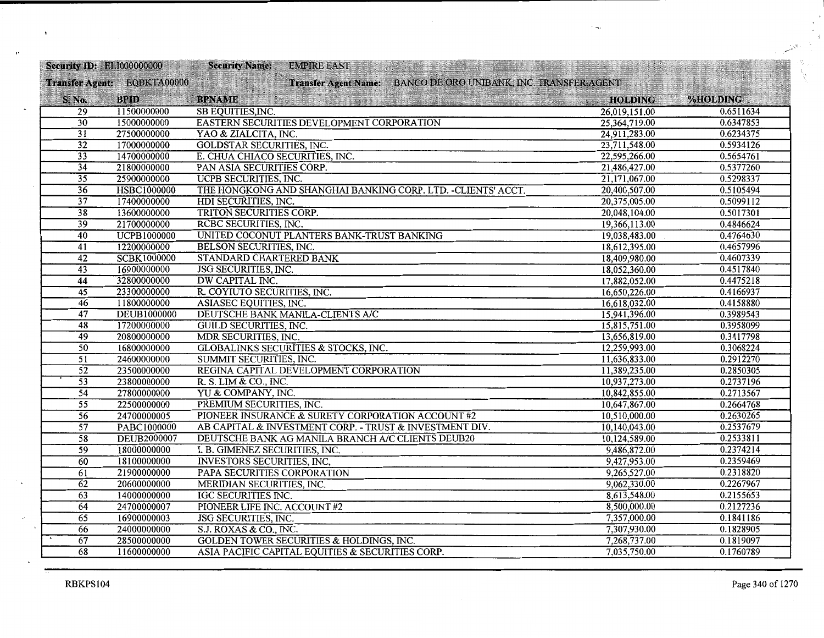| <b>Security ID: EL1000000000</b> |                             | <b>Security Name:</b>             | <b>EMPIRE EAST</b>                                             | 医子宫关节 化树脂 医特鲁氏体 化二甲基苯甲基                               |                |                 |
|----------------------------------|-----------------------------|-----------------------------------|----------------------------------------------------------------|-------------------------------------------------------|----------------|-----------------|
|                                  | Transfer Agent: EQBKTA00000 |                                   | Transfer Agent Name: BANCO DE ORO UNIBANK, INC. TRANSFER AGENT |                                                       |                |                 |
| S. No.                           | <b>BPID</b>                 | <b>BPNAME</b>                     |                                                                | <u> 1999 - Johann Barn, mars ann an Carl ann an C</u> | <b>HOLDING</b> | <b>%HOLDING</b> |
| $\overline{29}$                  | 11500000000                 | SB EQUITIES, INC.                 |                                                                |                                                       | 26,019,151.00  | 0.6511634       |
| $\overline{30}$                  | 15000000000                 |                                   | EASTERN SECURITIES DEVELOPMENT CORPORATION                     |                                                       | 25,364,719.00  | 0.6347853       |
| $\overline{31}$                  | 27500000000                 | YAO & ZIALCITA, INC.              |                                                                |                                                       | 24,911,283.00  | 0.6234375       |
| $\overline{32}$                  | 17000000000                 | <b>GOLDSTAR SECURITIES, INC.</b>  |                                                                |                                                       | 23,711,548.00  | 0.5934126       |
| $\overline{33}$                  | 14700000000                 | E. CHUA CHIACO SECURITIES, INC.   |                                                                |                                                       | 22,595,266.00  | 0.5654761       |
| $\overline{34}$                  | 21800000000                 | PAN ASIA SECURITIES CORP.         |                                                                |                                                       | 21,486,427.00  | 0.5377260       |
| $\overline{35}$                  | 25900000000                 | <b>UCPB SECURITIES, INC.</b>      |                                                                |                                                       | 21,171,067.00  | 0.5298337       |
| 36                               | <b>HSBC1000000</b>          |                                   | THE HONGKONG AND SHANGHAI BANKING CORP. LTD. - CLIENTS' ACCT.  |                                                       | 20,400,507.00  | 0.5105494       |
| $\overline{37}$                  | 17400000000                 | HDI SECURITIES, INC.              |                                                                |                                                       | 20,375,005.00  | 0.5099112       |
| $\overline{38}$                  | 13600000000                 | TRITON SECURITIES CORP.           |                                                                |                                                       | 20,048,104.00  | 0.5017301       |
| $\overline{39}$                  | 21700000000                 | RCBC SECURITIES, INC.             |                                                                |                                                       | 19,366,113.00  | 0.4846624       |
| $\overline{40}$                  | <b>UCPB1000000</b>          |                                   | UNITED COCONUT PLANTERS BANK-TRUST BANKING                     |                                                       | 19,038,483.00  | 0.4764630       |
| $\overline{41}$                  | 12200000000                 | BELSON SECURITIES, INC.           |                                                                |                                                       | 18,612,395.00  | 0.4657996       |
| $\overline{42}$                  | <b>SCBK1000000</b>          | STANDARD CHARTERED BANK           |                                                                |                                                       | 18,409,980.00  | 0.4607339       |
| $\overline{43}$                  | 16900000000                 | <b>JSG SECURITIES, INC.</b>       |                                                                |                                                       | 18,052,360.00  | 0.4517840       |
| 44                               | 32800000000                 | <b>DW CAPITAL INC.</b>            |                                                                |                                                       | 17,882,052.00  | 0.4475218       |
| $\overline{45}$                  | 23300000000                 | R. COYIUTO SECURITIES, INC.       |                                                                |                                                       | 16,650,226.00  | 0.4166937       |
| $\overline{46}$                  | 11800000000                 | ASIASEC EQUITIES, INC.            |                                                                |                                                       | 16,618,032.00  | 0.4158880       |
| $\overline{47}$                  | <b>DEUB1000000</b>          |                                   | DEUTSCHE BANK MANILA-CLIENTS A/C                               |                                                       | 15,941,396.00  | 0.3989543       |
| $\overline{48}$                  | 17200000000                 | <b>GUILD SECURITIES, INC.</b>     |                                                                |                                                       | 15,815,751.00  | 0.3958099       |
| 49                               | 20800000000                 | MDR SECURITIES, INC.              |                                                                |                                                       | 13,656,819.00  | 0.3417798       |
| $\overline{50}$                  | 16800000000                 |                                   | GLOBALINKS SECURITIES & STOCKS, INC.                           |                                                       | 12,259,993.00  | 0.3068224       |
| $\overline{51}$                  | 24600000000                 | <b>SUMMIT SECURITIES, INC.</b>    |                                                                |                                                       | 11,636,833.00  | 0.2912270       |
| $\overline{52}$                  | 23500000000                 |                                   | REGINA CAPITAL DEVELOPMENT CORPORATION                         |                                                       | 11,389,235.00  | 0.2850305       |
| $\overline{53}$                  | 23800000000                 | R. S. LIM & CO., INC.             |                                                                |                                                       | 10,937,273.00  | 0.2737196       |
| $\overline{54}$                  | 27800000000                 | YU & COMPANY, INC.                |                                                                |                                                       | 10,842,855.00  | 0.2713567       |
| $\overline{55}$                  | 22500000000                 | PREMIUM SECURITIES, INC.          |                                                                |                                                       | 10,647,867.00  | 0.2664768       |
| $\overline{56}$                  | 24700000005                 |                                   | PIONEER INSURANCE & SURETY CORPORATION ACCOUNT #2              |                                                       | 10,510,000.00  | 0.2630265       |
| $\overline{57}$                  | PABC1000000                 |                                   | AB CAPITAL & INVESTMENT CORP. - TRUST & INVESTMENT DIV.        |                                                       | 10,140,043.00  | 0.2537679       |
| $\overline{58}$                  | DEUB2000007                 |                                   | DEUTSCHE BANK AG MANILA BRANCH A/C CLIENTS DEUB20              |                                                       | 10,124,589.00  | 0.2533811       |
| $\overline{59}$                  | 18000000000                 | I. B. GIMENEZ SECURITIES, INC.    |                                                                |                                                       | 9,486,872.00   | 0.2374214       |
| 60                               | 18100000000                 | <b>INVESTORS SECURITIES, INC.</b> |                                                                |                                                       | 9,427,953.00   | 0.2359469       |
| 61                               | 21900000000                 | PAPA SECURITIES CORPORATION       |                                                                |                                                       | 9,265,527.00   | 0.2318820       |
| 62                               | 20600000000                 | MERIDIAN SECURITIES, INC.         |                                                                |                                                       | 9,062,330.00   | 0.2267967       |
| 63                               | 14000000000                 | <b>IGC SECURITIES INC.</b>        |                                                                |                                                       | 8,613,548.00   | 0.2155653       |
| 64                               | 24700000007                 | PIONEER LIFE INC. ACCOUNT #2      |                                                                |                                                       | 8,500,000.00   | 0.2127236       |
| 65                               | 16900000003                 | <b>JSG SECURITIES, INC.</b>       |                                                                |                                                       | 7,357,000.00   | 0.1841186       |
| 66                               | 24000000000                 | S.J. ROXAS & CO., INC.            |                                                                |                                                       | 7,307,930.00   | 0.1828905       |
| 67                               | 28500000000                 |                                   | <b>GOLDEN TOWER SECURITIES &amp; HOLDINGS, INC.</b>            |                                                       | 7,268,737.00   | 0.1819097       |
| $\overline{68}$                  | 11600000000                 |                                   | ASIA PACIFIC CAPITAL EQUITIES & SECURITIES CORP.               |                                                       | 7,035,750.00   | 0.1760789       |

 $\ddot{\phantom{1}}$ 

 $\cdot$ 

 $\cdot$  $\mathbf{r}$ 

 $\delta$  $\mathcal{L}_{\mu}$ 

 $\epsilon$ 

×.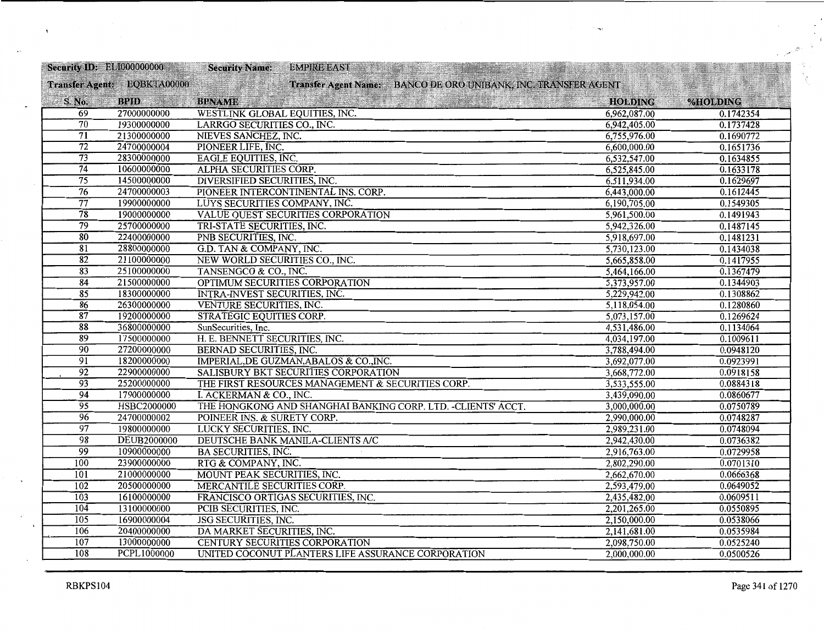|                  | <b>Security ID: EL1000000000</b> | <b>EMPIRE EAST</b><br><b>CRISINAL HAV</b><br><b>Security Name:</b> |                |           |
|------------------|----------------------------------|--------------------------------------------------------------------|----------------|-----------|
|                  | Transfer Agent: EQBKTA00000      | Transfer Agent Name: BANCO DE ORO UNIBANK, INC. TRANSFER AGENT     |                |           |
| S. No.           | <b>BPID</b>                      | <b>BPNAME</b>                                                      | <b>HOLDING</b> | %HOLDING  |
| 69               | 27000000000                      | WESTLINK GLOBAL EQUITIES, INC.                                     | 6,962,087.00   | 0.1742354 |
| 70               | 19300000000                      | LARRGO SECURITIES CO., INC.                                        | 6,942,405.00   | 0.1737428 |
| 71               | 21300000000                      | NIEVES SANCHEZ, INC.                                               | 6,755,976.00   | 0.1690772 |
| $\overline{72}$  | 24700000004                      | PIONEER LIFE, INC.                                                 | 6,600,000.00   | 0.1651736 |
| $\overline{73}$  | 28300000000                      | <b>EAGLE EQUITIES, INC.</b>                                        | 6,532,547.00   | 0.1634855 |
| $\overline{74}$  | 10600000000                      | ALPHA SECURITIES CORP.                                             | 6,525,845.00   | 0.1633178 |
| $\overline{75}$  | 14500000000                      | DIVERSIFIED SECURITIES, INC.                                       | 6,511,934.00   | 0.1629697 |
| $\overline{76}$  | 24700000003                      | PIONEER INTERCONTINENTAL INS. CORP.                                | 6,443,000.00   | 0.1612445 |
| 77               | 19900000000                      | LUYS SECURITIES COMPANY, INC.                                      | 6,190,705.00   | 0.1549305 |
| $\overline{78}$  | 19000000000                      | VALUE QUEST SECURITIES CORPORATION                                 | 5,961,500.00   | 0.1491943 |
| $\overline{79}$  | 25700000000                      | TRI-STATE SECURITIES, INC.                                         | 5,942,326.00   | 0.1487145 |
| $\overline{80}$  | 22400000000                      | PNB SECURITIES, INC.                                               | 5,918,697.00   | 0.1481231 |
| $\overline{81}$  | 28800000000                      | G.D. TAN & COMPANY, INC.                                           | 5,730,123.00   | 0.1434038 |
| $\overline{82}$  | 21100000000                      | NEW WORLD SECURITIES CO., INC.                                     | 5,665,858.00   | 0.1417955 |
| $\overline{83}$  | 25100000000                      | TANSENGCO & CO., INC.                                              | 5,464,166.00   | 0.1367479 |
| $\overline{84}$  | 21500000000                      | OPTIMUM SECURITIES CORPORATION                                     | 5,373,957.00   | 0.1344903 |
| $\overline{85}$  | 18300000000                      | <b>INTRA-INVEST SECURITIES, INC.</b>                               | 5,229,942.00   | 0.1308862 |
| $\overline{86}$  | 26300000000                      | VENTURE SECURITIES, INC.                                           | 5,118,054.00   | 0.1280860 |
| $\overline{87}$  | 19200000000                      | <b>STRATEGIC EQUITIES CORP.</b>                                    | 5,073,157.00   | 0.1269624 |
| $\overline{88}$  | 36800000000                      | SunSecurities, Inc.                                                | 4,531,486.00   | 0.1134064 |
| 89               | 17500000000                      | H. E. BENNETT SECURITIES, INC.                                     | 4,034,197.00   | 0.1009611 |
| $\overline{90}$  | 27200000000                      | BERNAD SECURITIES, INC.                                            | 3,788,494.00   | 0.0948120 |
| $\overline{91}$  | 18200000000                      | IMPERIAL, DE GUZMAN, ABALOS & CO., INC.                            | 3,692,077.00   | 0.0923991 |
| $\overline{92}$  | 22900000000                      | SALISBURY BKT SECURITIES CORPORATION                               | 3,668,772.00   | 0.0918158 |
| $\overline{93}$  | 25200000000                      | THE FIRST RESOURCES MANAGEMENT & SECURITIES CORP.                  | 3,533,555.00   | 0.0884318 |
| $\overline{94}$  | 17900000000                      | I. ACKERMAN & CO., INC.                                            | 3,439,090.00   | 0.0860677 |
| $\overline{95}$  | HSBC2000000                      | THE HONGKONG AND SHANGHAI BANKING CORP. LTD. -CLIENTS' ACCT.       | 3,000,000.00   | 0.0750789 |
| $\overline{96}$  | 24700000002                      | POINEER INS. & SURETY CORP.                                        | 2,990,000.00   | 0.0748287 |
| $\overline{97}$  | 19800000000                      | LUCKY SECURITIES, INC.                                             | 2,989,231.00   | 0.0748094 |
| $\overline{98}$  | <b>DEUB2000000</b>               | DEUTSCHE BANK MANILA-CLIENTS A/C                                   | 2,942,430.00   | 0.0736382 |
| 99               | 10900000000                      | <b>BA SECURITIES, INC.</b>                                         | 2,916,763.00   | 0.0729958 |
| 100              | 23900000000                      | RTG & COMPANY, INC.                                                | 2,802,290.00   | 0.0701310 |
| $\overline{101}$ | 21000000000                      | MOUNT PEAK SECURITIES, INC.                                        | 2,662,670.00   | 0.0666368 |
| 102              | 20500000000                      | MERCANTILE SECURITIES CORP.                                        | 2,593,479.00   | 0.0649052 |
| 103              | 16100000000                      | FRANCISCO ORTIGAS SECURITIES, INC.                                 | 2,435,482.00   | 0.0609511 |
| 104              | 13100000000                      | PCIB SECURITIES, INC.                                              | 2,201,265.00   | 0.0550895 |
| 105              | 16900000004                      | <b>JSG SECURITIES, INC.</b>                                        | 2,150,000.00   | 0.0538066 |
| 106              | 20400000000                      | DA MARKET SECURITIES, INC.                                         | 2,141,681.00   | 0.0535984 |
| 107              | 13000000000                      | CENTURY SECURITIES CORPORATION                                     | 2,098,750.00   | 0.0525240 |
| 108              | PCPL1000000                      | UNITED COCONUT PLANTERS LIFE ASSURANCE CORPORATION                 | 2,000,000.00   | 0.0500526 |

Ä,

 $\mathbf{r}$ 

 $\overrightarrow{a}$ 

S.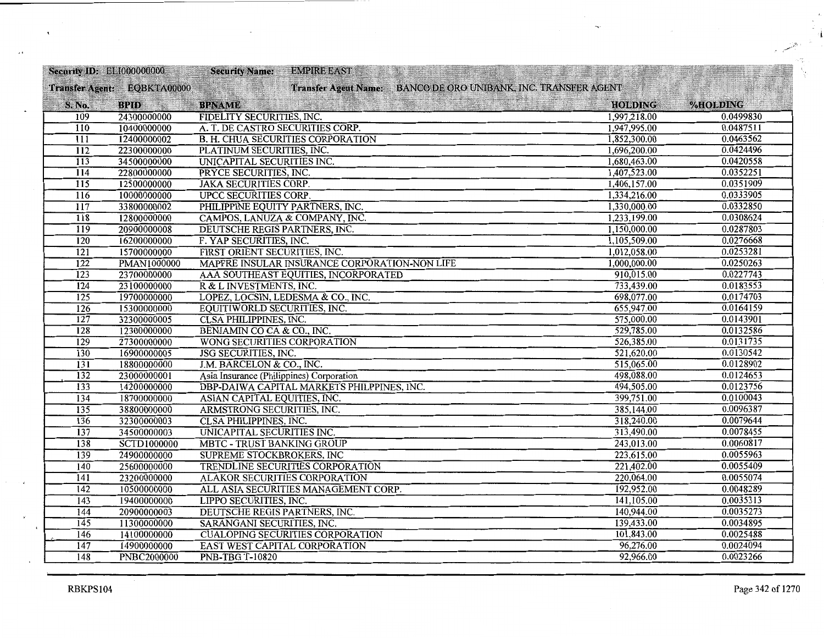| Security ID: ELI000000000 |                             | <b>EMPIRE EAST</b><br><b>Security Name:</b>                    |                |           |
|---------------------------|-----------------------------|----------------------------------------------------------------|----------------|-----------|
|                           | Transfer Agent: EQBKTA00000 | Transfer Agent Name: BANCO DE ORO UNIBANK, INC. TRANSFER AGENT |                |           |
| S. No.                    | <b>BPID</b>                 | <b>BPNAME</b>                                                  | <b>HOLDING</b> | %HOLDING  |
| 109                       | 24300000000                 | FIDELITY SECURITIES, INC.                                      | 1,997,218.00   | 0.0499830 |
| 110                       | 10400000000                 | A. T. DE CASTRO SECURITIES CORP.                               | 1,947,995.00   | 0.0487511 |
| 111                       | 12400000002                 | <b>B. H. CHUA SECURITIES CORPORATION</b>                       | 1,852,300.00   | 0.0463562 |
| $\overline{112}$          | 22300000000                 | PLATINUM SECURITIES, INC.                                      | 1,696,200.00   | 0.0424496 |
| $\overline{113}$          | 34500000000                 | UNICAPITAL SECURITIES INC.                                     | 1,680,463.00   | 0.0420558 |
| 114                       | 22800000000                 | PRYCE SECURITIES, INC.                                         | 1,407,523.00   | 0.0352251 |
| $\overline{115}$          | 12500000000                 | <b>JAKA SECURITIES CORP.</b>                                   | 1,406,157.00   | 0.0351909 |
| 116                       | 10000000000                 | <b>UPCC SECURITIES CORP.</b>                                   | 1,334,216.00   | 0.0333905 |
| 117                       | 33800000002                 | PHILIPPINE EQUITY PARTNERS, INC.                               | 1,330,000.00   | 0.0332850 |
| $\overline{118}$          | 12800000000                 | CAMPOS, LANUZA & COMPANY, INC.                                 | 1,233,199.00   | 0.0308624 |
| 119                       | 20900000008                 | DEUTSCHE REGIS PARTNERS, INC.                                  | 1,150,000.00   | 0.0287803 |
| $\overline{120}$          | 16200000000                 | F. YAP SECURITIES, INC.                                        | 1,105,509.00   | 0.0276668 |
| $\overline{121}$          | 15700000000                 | FIRST ORIENT SECURITIES, INC.                                  | 1,012,058.00   | 0.0253281 |
| $\overline{122}$          | <b>PMAN1000000</b>          | MAPFRE INSULAR INSURANCE CORPORATION-NON LIFE                  | 1,000,000.00   | 0.0250263 |
| $\overline{123}$          | 23700000000                 | AAA SOUTHEAST EQUITIES, INCORPORATED                           | 910,015.00     | 0.0227743 |
| 124                       | 23100000000                 | R & L INVESTMENTS, INC.                                        | 733,439.00     | 0.0183553 |
| 125                       | 19700000000                 | LOPEZ, LOCSIN, LEDESMA & CO., INC.                             | 698,077.00     | 0.0174703 |
| $\overline{126}$          | 15300000000                 | EQUITIWORLD SECURITIES, INC.                                   | 655,947.00     | 0.0164159 |
| 127                       | 32300000005                 | <b>CLSA PHILIPPINES, INC.</b>                                  | 575,000.00     | 0.0143901 |
| 128                       | 12300000000                 | BENJAMIN CO CA & CO., INC.                                     | 529,785.00     | 0.0132586 |
| $\overline{129}$          | 27300000000                 | WONG SECURITIES CORPORATION                                    | 526,385.00     | 0.0131735 |
| $\overline{130}$          | 16900000005                 | JSG SECURITIES, INC.                                           | 521,620.00     | 0.0130542 |
| $\overline{131}$          | 18800000000                 | J.M. BARCELON & CO., INC.                                      | 515,065.00     | 0.0128902 |
| $\overline{132}$          | 23000000001                 | Asia Insurance (Philippines) Corporation                       | 498,088.00     | 0.0124653 |
| 133                       | 14200000000                 | DBP-DAIWA CAPITAL MARKETS PHILPPINES, INC.                     | 494,505.00     | 0.0123756 |
| 134                       | 18700000000                 | ASIAN CAPITAL EQUITIES, INC.                                   | 399,751.00     | 0.0100043 |
| 135                       | 38800000000                 | ARMSTRONG SECURITIES, INC.                                     | 385,144.00     | 0.0096387 |
| 136                       | 32300000003                 | <b>CLSA PHILIPPINES, INC.</b>                                  | 318,240.00     | 0.0079644 |
| 137                       | 34500000003                 | UNICAPITAL SECURITIES INC.                                     | 313,490.00     | 0.0078455 |
| $\overline{138}$          | <b>SCTD1000000</b>          | <b>MBTC - TRUST BANKING GROUP</b>                              | 243,013.00     | 0.0060817 |
| $\overline{139}$          | 24900000000                 | <b>SUPREME STOCKBROKERS, INC</b>                               | 223,615.00     | 0.0055963 |
| 140                       | 25600000000                 | TRENDLINE SECURITIES CORPORATION                               | 221,402.00     | 0.0055409 |
| 141                       | 23200000000                 | <b>ALAKOR SECURITIES CORPORATION</b>                           | 220,064.00     | 0.0055074 |
| 142                       | 10500000000                 | ALL ASIA SECURITIES MANAGEMENT CORP.                           | 192,952.00     | 0.0048289 |
| $\overline{143}$          | 19400000000                 | LIPPO SECURITIES, INC.                                         | 141,105.00     | 0.0035313 |
| 144                       | 20900000003                 | DEUTSCHE REGIS PARTNERS, INC.                                  | 140,944.00     | 0.0035273 |
| $\overline{145}$          | 11300000000                 | SARANGANI SECURITIES, INC.                                     | 139,433.00     | 0.0034895 |
| $\overline{146}$          | 14100000000                 | <b>CUALOPING SECURITIES CORPORATION</b>                        | 101,843.00     | 0.0025488 |
| 147                       | 14900000000                 | EAST WEST CAPITAL CORPORATION                                  | 96,276.00      | 0.0024094 |
| 148                       | <b>PNBC2000000</b>          | <b>PNB-TBG T-10820</b>                                         | 92,966.00      | 0.0023266 |

 $\tilde{\mathbf{v}}$ 

 $\bar{\epsilon}$ 

Ĭ.

Ç.

ą